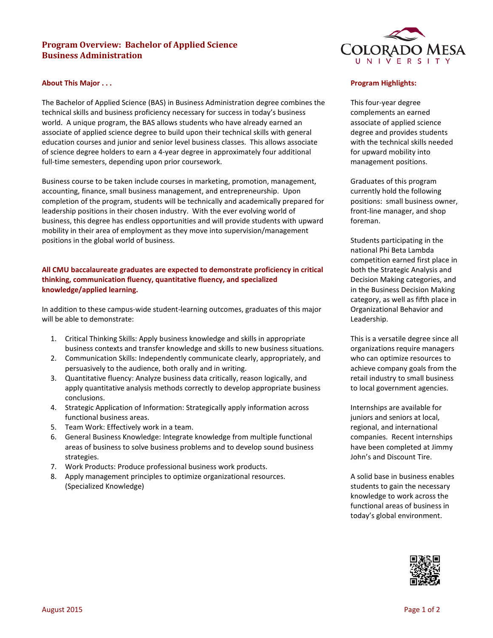# **Program Overview: Bachelor of Applied Science Business Administration**



### **About This Major . . .**

The Bachelor of Applied Science (BAS) in Business Administration degree combines the technical skills and business proficiency necessary for success in today's business world. A unique program, the BAS allows students who have already earned an associate of applied science degree to build upon their technical skills with general education courses and junior and senior level business classes. This allows associate of science degree holders to earn a 4-year degree in approximately four additional full-time semesters, depending upon prior coursework.

Business course to be taken include courses in marketing, promotion, management, accounting, finance, small business management, and entrepreneurship. Upon completion of the program, students will be technically and academically prepared for leadership positions in their chosen industry. With the ever evolving world of business, this degree has endless opportunities and will provide students with upward mobility in their area of employment as they move into supervision/management positions in the global world of business.

# **All CMU baccalaureate graduates are expected to demonstrate proficiency in critical thinking, communication fluency, quantitative fluency, and specialized knowledge/applied learning.**

In addition to these campus-wide student-learning outcomes, graduates of this major will be able to demonstrate:

- 1. Critical Thinking Skills: Apply business knowledge and skills in appropriate business contexts and transfer knowledge and skills to new business situations.
- 2. Communication Skills: Independently communicate clearly, appropriately, and persuasively to the audience, both orally and in writing.
- 3. Quantitative fluency: Analyze business data critically, reason logically, and apply quantitative analysis methods correctly to develop appropriate business conclusions.
- 4. Strategic Application of Information: Strategically apply information across functional business areas.
- 5. Team Work: Effectively work in a team.
- 6. General Business Knowledge: Integrate knowledge from multiple functional areas of business to solve business problems and to develop sound business strategies.
- 7. Work Products: Produce professional business work products.
- 8. Apply management principles to optimize organizational resources. (Specialized Knowledge)

### **Program Highlights:**

This four-year degree complements an earned associate of applied science degree and provides students with the technical skills needed for upward mobility into management positions.

Graduates of this program currently hold the following positions: small business owner, front-line manager, and shop foreman.

Students participating in the national Phi Beta Lambda competition earned first place in both the Strategic Analysis and Decision Making categories, and in the Business Decision Making category, as well as fifth place in Organizational Behavior and Leadership.

This is a versatile degree since all organizations require managers who can optimize resources to achieve company goals from the retail industry to small business to local government agencies.

Internships are available for juniors and seniors at local, regional, and international companies. Recent internships have been completed at Jimmy John's and Discount Tire.

A solid base in business enables students to gain the necessary knowledge to work across the functional areas of business in today's global environment.